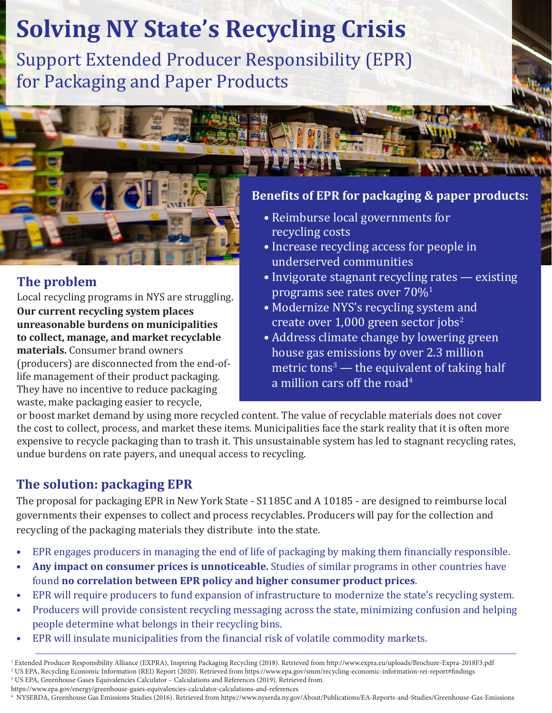# **Solving NY State's Recycling Crisis**

Support Extended Producer Responsibility (EPR) for Packaging and Paper Products



# **The problem**

Local recycling programs in NYS are struggling.

**Our current recycling system places unreasonable burdens on municipalities to collect, manage, and market recyclable materials.** Consumer brand owners (producers) are disconnected from the end-oflife management of their product packaging. They have no incentive to reduce packaging waste, make packaging easier to recycle,

### **Benefits of EPR for packaging & paper products:**

- Reimburse local governments for recycling costs
- Increase recycling access for people in underserved communities
- Invigorate stagnant recycling rates existing programs see rates over  $70\%$ <sup>1</sup>
- Modernize NYS's recycling system and create over  $1,000$  green sector jobs<sup>2</sup>
- Address climate change by lowering green house gas emissions by over 2.3 million metric tons $\degree$  — the equivalent of taking half a million cars off the road<sup>4</sup>

or boost market demand by using more recycled content. The value of recyclable materials does not cover the cost to collect, process, and market these items. Municipalities face the stark reality that it is often more expensive to recycle packaging than to trash it. This unsustainable system has led to stagnant recycling rates, undue burdens on rate payers, and unequal access to recycling.

# **The solution: packaging EPR**

The proposal for packaging EPR in New York State - S1185C and A 10185 - are designed to reimburse local governments their expenses to collect and process recyclables. Producers will pay for the collection and recycling of the packaging materials they distribute into the state.

- EPR engages producers in managing the end of life of packaging by making them financially responsible.
- **• Any impact on consumer prices is unnoticeable.** Studies of similar programs in other countries have found **no correlation between EPR policy and higher consumer product prices**.
- EPR will require producers to fund expansion of infrastructure to modernize the state's recycling system.
- Producers will provide consistent recycling messaging across the state, minimizing confusion and helping people determine what belongs in their recycling bins.
- EPR will insulate municipalities from the financial risk of volatile commodity markets.

- 3 US EPA, Greenhouse Gases Equivalencies Calculator Calculations and References (2019). Retrieved from
- https://www.epa.gov/energy/greenhouse-gases-equivalencies-calculator-calculations-and-references

4 NYSERDA, Greenhouse Gas Emissions Studies (2016). Retrieved from https://www.nyserda.ny.gov/About/Publications/EA-Reports-and-Studies/Greenhouse-Gas-Emissions

<sup>1</sup> Extended Producer Responsibility Alliance (EXPRA), Inspiring Packaging Recycling (2018). Retrieved from http://www.expra.eu/uploads/Brochure-Expra-2018F3.pdf 2 US EPA, Recycling Economic Information (REI) Report (2020). Retrieved from https://www.epa.gov/smm/recycling-economic-information-rei-report#findings